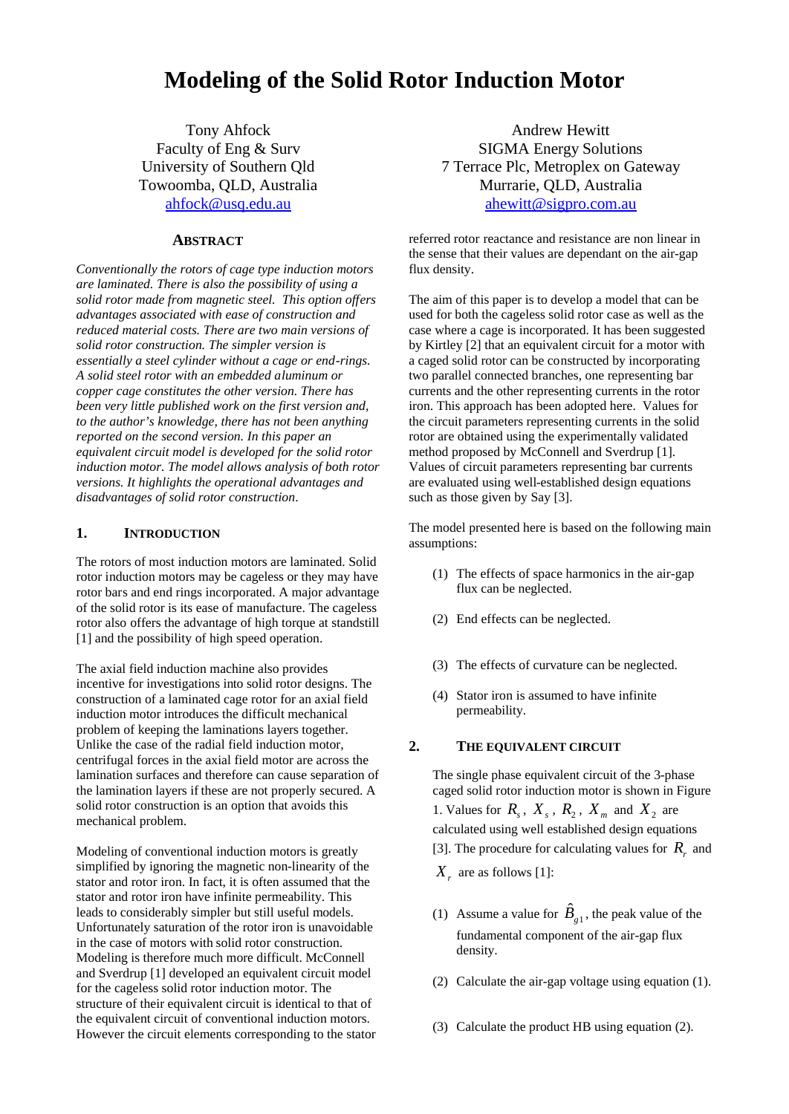# **Modeling of the Solid Rotor Induction Motor**

Tony Ahfock Faculty of Eng & Surv University of Southern Qld Towoomba, QLD, Australia ahfock@usq.edu.au

#### **ABSTRACT**

*Conventionally the rotors of cage type induction motors are laminated. There is also the possibility of using a solid rotor made from magnetic steel. This option offers advantages associated with ease of construction and reduced material costs. There are two main versions of solid rotor construction. The simpler version is essentially a steel cylinder without a cage or end-rings. A solid steel rotor with an embedded aluminum or copper cage constitutes the other version. There has been very little published work on the first version and, to the author's knowledge, there has not been anything reported on the second version. In this paper an equivalent circuit model is developed for the solid rotor induction motor. The model allows analysis of both rotor versions. It highlights the operational advantages and disadvantages of solid rotor construction*.

#### **1. INTRODUCTION**

The rotors of most induction motors are laminated. Solid rotor induction motors may be cageless or they may have rotor bars and end rings incorporated. A major advantage of the solid rotor is its ease of manufacture. The cageless rotor also offers the advantage of high torque at standstill [1] and the possibility of high speed operation.

The axial field induction machine also provides incentive for investigations into solid rotor designs. The construction of a laminated cage rotor for an axial field induction motor introduces the difficult mechanical problem of keeping the laminations layers together. Unlike the case of the radial field induction motor, centrifugal forces in the axial field motor are across the lamination surfaces and therefore can cause separation of the lamination layers if these are not properly secured. A solid rotor construction is an option that avoids this mechanical problem.

Modeling of conventional induction motors is greatly simplified by ignoring the magnetic non-linearity of the stator and rotor iron. In fact, it is often assumed that the stator and rotor iron have infinite permeability. This leads to considerably simpler but still useful models. Unfortunately saturation of the rotor iron is unavoidable in the case of motors with solid rotor construction. Modeling is therefore much more difficult. McConnell and Sverdrup [1] developed an equivalent circuit model for the cageless solid rotor induction motor. The structure of their equivalent circuit is identical to that of the equivalent circuit of conventional induction motors. However the circuit elements corresponding to the stator

Andrew Hewitt SIGMA Energy Solutions 7 Terrace Plc, Metroplex on Gateway Murrarie, QLD, Australia ahewitt@sigpro.com.au

referred rotor reactance and resistance are non linear in the sense that their values are dependant on the air-gap flux density.

The aim of this paper is to develop a model that can be used for both the cageless solid rotor case as well as the case where a cage is incorporated. It has been suggested by Kirtley [2] that an equivalent circuit for a motor with a caged solid rotor can be constructed by incorporating two parallel connected branches, one representing bar currents and the other representing currents in the rotor iron. This approach has been adopted here. Values for the circuit parameters representing currents in the solid rotor are obtained using the experimentally validated method proposed by McConnell and Sverdrup [1]. Values of circuit parameters representing bar currents are evaluated using well-established design equations such as those given by Say [3].

The model presented here is based on the following main assumptions:

- (1) The effects of space harmonics in the air-gap flux can be neglected.
- (2) End effects can be neglected.
- (3) The effects of curvature can be neglected.
- (4) Stator iron is assumed to have infinite permeability.

#### **2. THE EQUIVALENT CIRCUIT**

The single phase equivalent circuit of the 3-phase caged solid rotor induction motor is shown in Figure 1. Values for  $R_s$ ,  $X_s$ ,  $R_2$ ,  $X_m$  and  $X_2$  are calculated using well established design equations [3]. The procedure for calculating values for  $R_r$  and  $X_r$  are as follows [1]:

- (1) Assume a value for  $\hat{B}_{g1}$ , the peak value of the fundamental component of the air-gap flux density.
- (2) Calculate the air-gap voltage using equation (1).
- (3) Calculate the product HB using equation (2).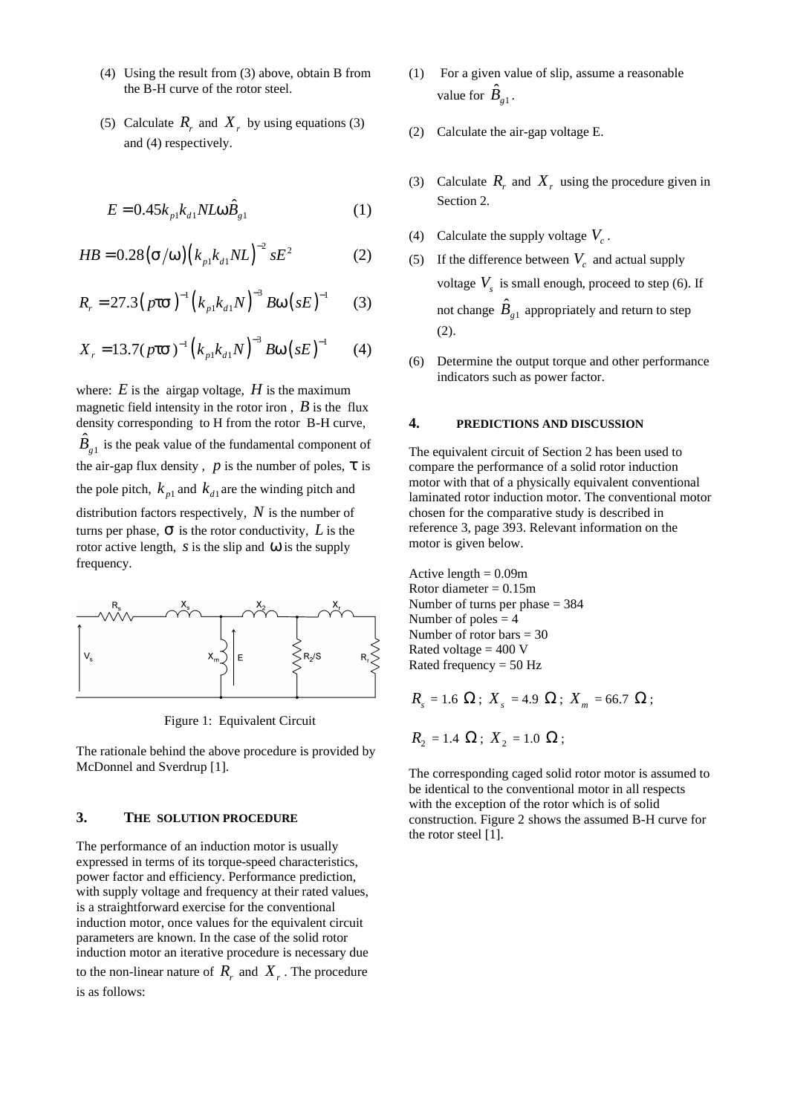- (4) Using the result from (3) above, obtain B from the B-H curve of the rotor steel.
- (5) Calculate  $R_r$  and  $X_r$  by using equations (3) and (4) respectively.

$$
E = 0.45k_{p1}k_{d1}NLw\hat{B}_{g1}
$$
 (1)

$$
HB = 0.28 (s/w) (k_{p1}k_{d1}NL)^{-2} sE^{2}
$$
 (2)

$$
R_r = 27.3 (pts)^{-1} (k_{p1}k_{d1}N)^{-3} B W (sE)^{-1}
$$
 (3)

$$
X_r = 13.7 (p \text{ts})^{-1} \left( k_{p1} k_{d1} N \right)^{-3} B w \left( s E \right)^{-1} \tag{4}
$$

where:  $E$  is the airgap voltage,  $H$  is the maximum magnetic field intensity in the rotor iron,  $\hat{B}$  is the flux density corresponding to H from the rotor B-H curve,  $\hat{B}_{g1}$  is the peak value of the fundamental component of the air-gap flux density,  $p$  is the number of poles,  $t$  is the pole pitch,  $k_{p1}$  and  $k_{d1}$  are the winding pitch and distribution factors respectively, *N* is the number of turns per phase,  $S$  is the rotor conductivity,  $L$  is the rotor active length, *s*is the slip and *w* is the supply frequency.



Figure 1: Equivalent Circuit

The rationale behind the above procedure is provided by McDonnel and Sverdrup [1].

#### **3. THE SOLUTION PROCEDURE**

The performance of an induction motor is usually expressed in terms of its torque-speed characteristics, power factor and efficiency. Performance prediction, with supply voltage and frequency at their rated values, is a straightforward exercise for the conventional induction motor, once values for the equivalent circuit parameters are known. In the case of the solid rotor induction motor an iterative procedure is necessary due to the non-linear nature of  $R_r$  and  $X_r$ . The procedure is as follows:

- (1) For a given value of slip, assume a reasonable value for  $\hat{B}_{g1}$ .
- (2) Calculate the air-gap voltage E.
- (3) Calculate  $R_r$  and  $X_r$  using the procedure given in Section 2.
- (4) Calculate the supply voltage  $V_c$ .
- (5) If the difference between  $V_c$  and actual supply voltage  $V_s$  is small enough, proceed to step (6). If not change  $\hat{B}_{g1}$  appropriately and return to step (2).
- (6) Determine the output torque and other performance indicators such as power factor.

#### **4. PREDICTIONS AND DISCUSSION**

The equivalent circuit of Section 2 has been used to compare the performance of a solid rotor induction motor with that of a physically equivalent conventional laminated rotor induction motor. The conventional motor chosen for the comparative study is described in reference 3, page 393. Relevant information on the motor is given below.

Active length  $= 0.09$ m Rotor diameter  $= 0.15$ m Number of turns per phase = 384 Number of poles  $= 4$ Number of rotor bars = 30 Rated voltage  $= 400$  V Rated frequency  $= 50$  Hz

$$
R_s = 1.6 \, \Omega \, ; \, X_s = 4.9 \, \Omega \, ; \, X_m = 66.7 \, \Omega \, ;
$$

$$
R_2 = 1.4 \Omega; X_2 = 1.0 \Omega;
$$

The corresponding caged solid rotor motor is assumed to be identical to the conventional motor in all respects with the exception of the rotor which is of solid construction. Figure 2 shows the assumed B-H curve for the rotor steel [1].